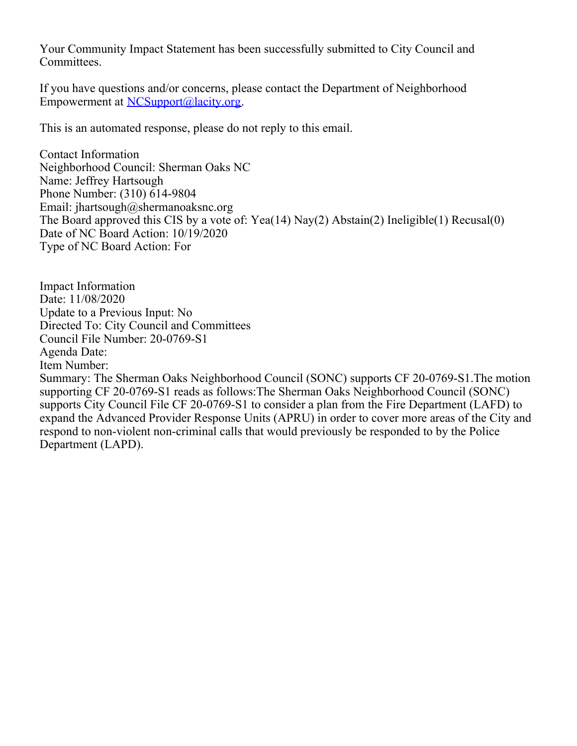Your Community Impact Statement has been successfully submitted to City Council and Committees.

If you have questions and/or concerns, please contact the Department of Neighborhood Empowerment at [NCSupport@lacity.org](mailto:NCSupport@lacity.org).

This is an automated response, please do not reply to this email.

Contact Information Neighborhood Council: Sherman Oaks NC Name: Jeffrey Hartsough Phone Number: (310) 614-9804 Email: jhartsough@shermanoaksnc.org The Board approved this CIS by a vote of: Yea(14) Nay(2) Abstain(2) Ineligible(1) Recusal(0) Date of NC Board Action: 10/19/2020 Type of NC Board Action: For

Impact Information Date: 11/08/2020 Update to a Previous Input: No Directed To: City Council and Committees Council File Number: 20-0769-S1 Agenda Date: Item Number: Summary: The Sherman Oaks Neighborhood Council (SONC) supports CF 20-0769-S1.The motion supporting CF 20-0769-S1 reads as follows:The Sherman Oaks Neighborhood Council (SONC) supports City Council File CF 20-0769-S1 to consider a plan from the Fire Department (LAFD) to expand the Advanced Provider Response Units (APRU) in order to cover more areas of the City and respond to non-violent non-criminal calls that would previously be responded to by the Police Department (LAPD).